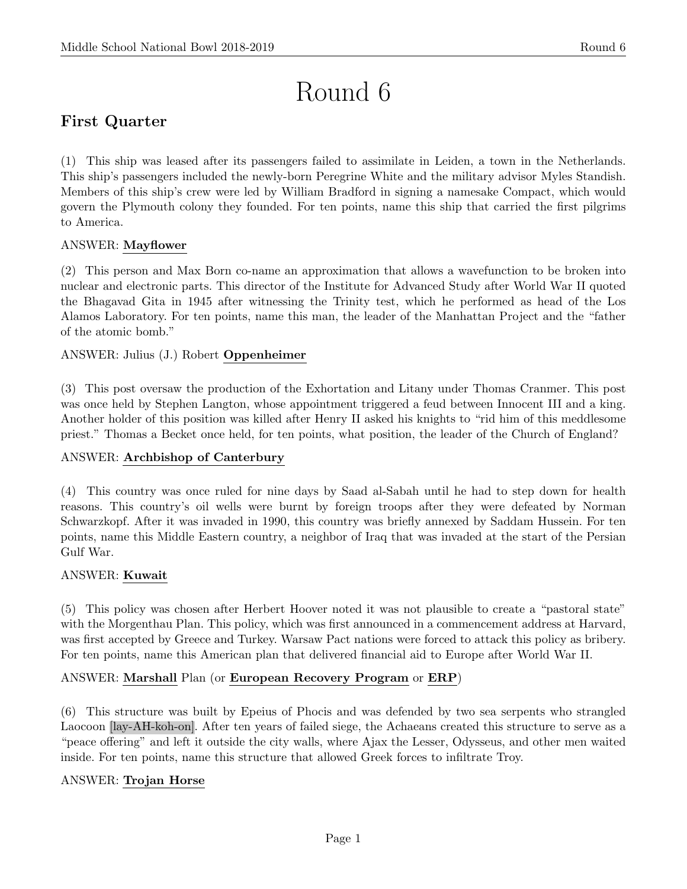# Round 6

# First Quarter

(1) This ship was leased after its passengers failed to assimilate in Leiden, a town in the Netherlands. This ship's passengers included the newly-born Peregrine White and the military advisor Myles Standish. Members of this ship's crew were led by William Bradford in signing a namesake Compact, which would govern the Plymouth colony they founded. For ten points, name this ship that carried the first pilgrims to America.

# ANSWER: Mayflower

(2) This person and Max Born co-name an approximation that allows a wavefunction to be broken into nuclear and electronic parts. This director of the Institute for Advanced Study after World War II quoted the Bhagavad Gita in 1945 after witnessing the Trinity test, which he performed as head of the Los Alamos Laboratory. For ten points, name this man, the leader of the Manhattan Project and the "father of the atomic bomb."

# ANSWER: Julius (J.) Robert Oppenheimer

(3) This post oversaw the production of the Exhortation and Litany under Thomas Cranmer. This post was once held by Stephen Langton, whose appointment triggered a feud between Innocent III and a king. Another holder of this position was killed after Henry II asked his knights to "rid him of this meddlesome priest." Thomas a Becket once held, for ten points, what position, the leader of the Church of England?

# ANSWER: Archbishop of Canterbury

(4) This country was once ruled for nine days by Saad al-Sabah until he had to step down for health reasons. This country's oil wells were burnt by foreign troops after they were defeated by Norman Schwarzkopf. After it was invaded in 1990, this country was briefly annexed by Saddam Hussein. For ten points, name this Middle Eastern country, a neighbor of Iraq that was invaded at the start of the Persian Gulf War.

# ANSWER: Kuwait

(5) This policy was chosen after Herbert Hoover noted it was not plausible to create a "pastoral state" with the Morgenthau Plan. This policy, which was first announced in a commencement address at Harvard, was first accepted by Greece and Turkey. Warsaw Pact nations were forced to attack this policy as bribery. For ten points, name this American plan that delivered financial aid to Europe after World War II.

# ANSWER: Marshall Plan (or European Recovery Program or ERP)

(6) This structure was built by Epeius of Phocis and was defended by two sea serpents who strangled Laocoon [lay-AH-koh-on]. After ten years of failed siege, the Achaeans created this structure to serve as a "peace offering" and left it outside the city walls, where Ajax the Lesser, Odysseus, and other men waited inside. For ten points, name this structure that allowed Greek forces to infiltrate Troy.

# ANSWER: Trojan Horse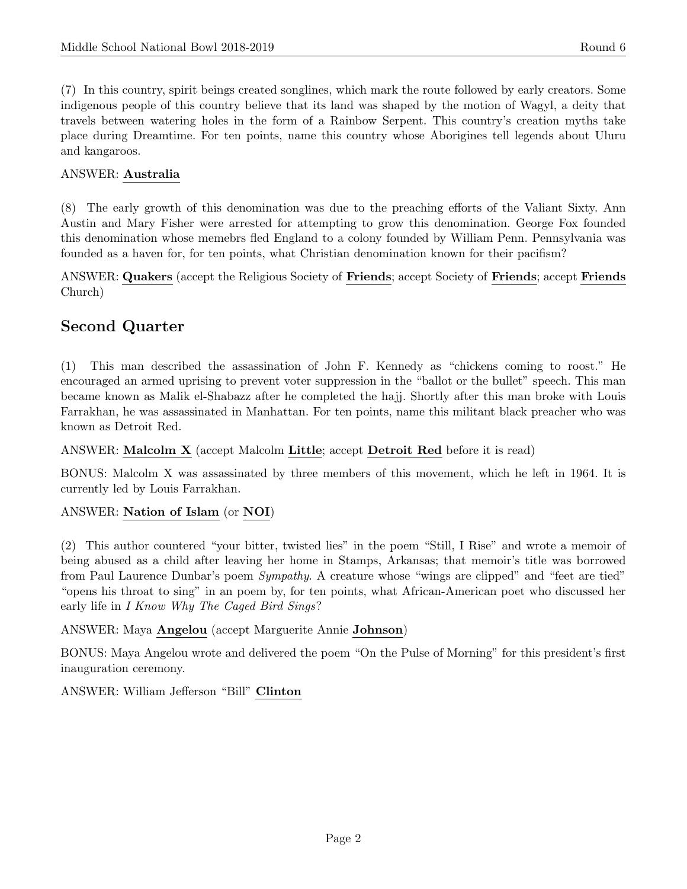(7) In this country, spirit beings created songlines, which mark the route followed by early creators. Some indigenous people of this country believe that its land was shaped by the motion of Wagyl, a deity that travels between watering holes in the form of a Rainbow Serpent. This country's creation myths take place during Dreamtime. For ten points, name this country whose Aborigines tell legends about Uluru and kangaroos.

#### ANSWER: Australia

(8) The early growth of this denomination was due to the preaching efforts of the Valiant Sixty. Ann Austin and Mary Fisher were arrested for attempting to grow this denomination. George Fox founded this denomination whose memebrs fled England to a colony founded by William Penn. Pennsylvania was founded as a haven for, for ten points, what Christian denomination known for their pacifism?

ANSWER: Quakers (accept the Religious Society of Friends; accept Society of Friends; accept Friends Church)

# Second Quarter

(1) This man described the assassination of John F. Kennedy as "chickens coming to roost." He encouraged an armed uprising to prevent voter suppression in the "ballot or the bullet" speech. This man became known as Malik el-Shabazz after he completed the hajj. Shortly after this man broke with Louis Farrakhan, he was assassinated in Manhattan. For ten points, name this militant black preacher who was known as Detroit Red.

ANSWER: Malcolm X (accept Malcolm Little; accept Detroit Red before it is read)

BONUS: Malcolm X was assassinated by three members of this movement, which he left in 1964. It is currently led by Louis Farrakhan.

#### ANSWER: Nation of Islam (or NOI)

(2) This author countered "your bitter, twisted lies" in the poem "Still, I Rise" and wrote a memoir of being abused as a child after leaving her home in Stamps, Arkansas; that memoir's title was borrowed from Paul Laurence Dunbar's poem Sympathy. A creature whose "wings are clipped" and "feet are tied" "opens his throat to sing" in an poem by, for ten points, what African-American poet who discussed her early life in I Know Why The Caged Bird Sings?

ANSWER: Maya Angelou (accept Marguerite Annie Johnson)

BONUS: Maya Angelou wrote and delivered the poem "On the Pulse of Morning" for this president's first inauguration ceremony.

ANSWER: William Jefferson "Bill" Clinton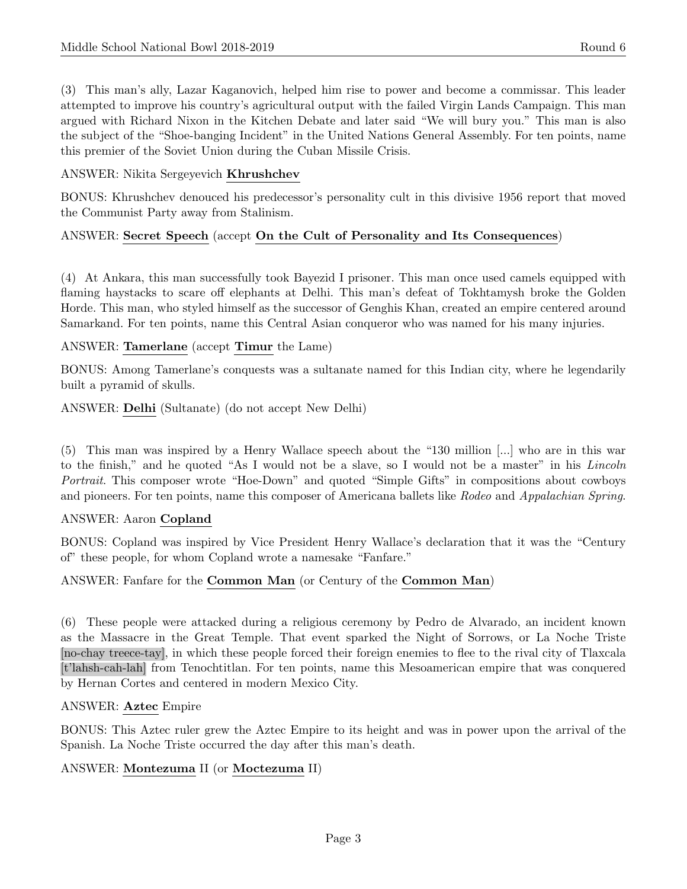(3) This man's ally, Lazar Kaganovich, helped him rise to power and become a commissar. This leader attempted to improve his country's agricultural output with the failed Virgin Lands Campaign. This man argued with Richard Nixon in the Kitchen Debate and later said "We will bury you." This man is also the subject of the "Shoe-banging Incident" in the United Nations General Assembly. For ten points, name this premier of the Soviet Union during the Cuban Missile Crisis.

#### ANSWER: Nikita Sergeyevich Khrushchev

BONUS: Khrushchev denouced his predecessor's personality cult in this divisive 1956 report that moved the Communist Party away from Stalinism.

# ANSWER: Secret Speech (accept On the Cult of Personality and Its Consequences)

(4) At Ankara, this man successfully took Bayezid I prisoner. This man once used camels equipped with flaming haystacks to scare off elephants at Delhi. This man's defeat of Tokhtamysh broke the Golden Horde. This man, who styled himself as the successor of Genghis Khan, created an empire centered around Samarkand. For ten points, name this Central Asian conqueror who was named for his many injuries.

#### ANSWER: Tamerlane (accept Timur the Lame)

BONUS: Among Tamerlane's conquests was a sultanate named for this Indian city, where he legendarily built a pyramid of skulls.

ANSWER: Delhi (Sultanate) (do not accept New Delhi)

(5) This man was inspired by a Henry Wallace speech about the "130 million [...] who are in this war to the finish," and he quoted "As I would not be a slave, so I would not be a master" in his Lincoln Portrait. This composer wrote "Hoe-Down" and quoted "Simple Gifts" in compositions about cowboys and pioneers. For ten points, name this composer of Americana ballets like Rodeo and Appalachian Spring.

#### ANSWER: Aaron Copland

BONUS: Copland was inspired by Vice President Henry Wallace's declaration that it was the "Century of" these people, for whom Copland wrote a namesake "Fanfare."

# ANSWER: Fanfare for the Common Man (or Century of the Common Man)

(6) These people were attacked during a religious ceremony by Pedro de Alvarado, an incident known as the Massacre in the Great Temple. That event sparked the Night of Sorrows, or La Noche Triste [no-chay treece-tay], in which these people forced their foreign enemies to flee to the rival city of Tlaxcala [t'lahsh-cah-lah] from Tenochtitlan. For ten points, name this Mesoamerican empire that was conquered by Hernan Cortes and centered in modern Mexico City.

#### ANSWER: Aztec Empire

BONUS: This Aztec ruler grew the Aztec Empire to its height and was in power upon the arrival of the Spanish. La Noche Triste occurred the day after this man's death.

# ANSWER: Montezuma II (or Moctezuma II)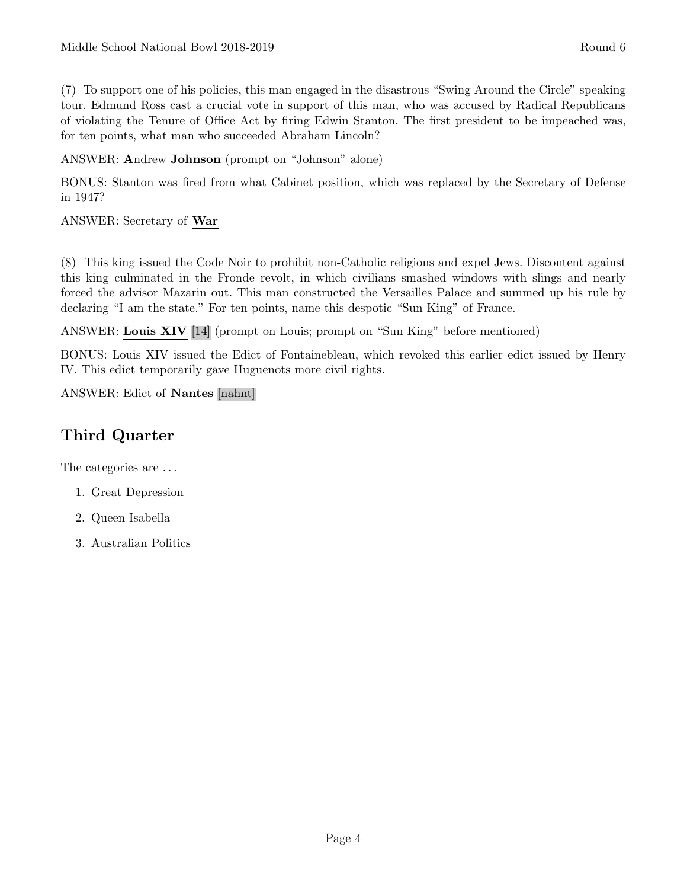(7) To support one of his policies, this man engaged in the disastrous "Swing Around the Circle" speaking tour. Edmund Ross cast a crucial vote in support of this man, who was accused by Radical Republicans of violating the Tenure of Office Act by firing Edwin Stanton. The first president to be impeached was, for ten points, what man who succeeded Abraham Lincoln?

ANSWER: Andrew Johnson (prompt on "Johnson" alone)

BONUS: Stanton was fired from what Cabinet position, which was replaced by the Secretary of Defense in 1947?

ANSWER: Secretary of War

(8) This king issued the Code Noir to prohibit non-Catholic religions and expel Jews. Discontent against this king culminated in the Fronde revolt, in which civilians smashed windows with slings and nearly forced the advisor Mazarin out. This man constructed the Versailles Palace and summed up his rule by declaring "I am the state." For ten points, name this despotic "Sun King" of France.

ANSWER: Louis XIV [14] (prompt on Louis; prompt on "Sun King" before mentioned)

BONUS: Louis XIV issued the Edict of Fontainebleau, which revoked this earlier edict issued by Henry IV. This edict temporarily gave Huguenots more civil rights.

ANSWER: Edict of Nantes [nahnt]

# Third Quarter

The categories are . . .

- 1. Great Depression
- 2. Queen Isabella
- 3. Australian Politics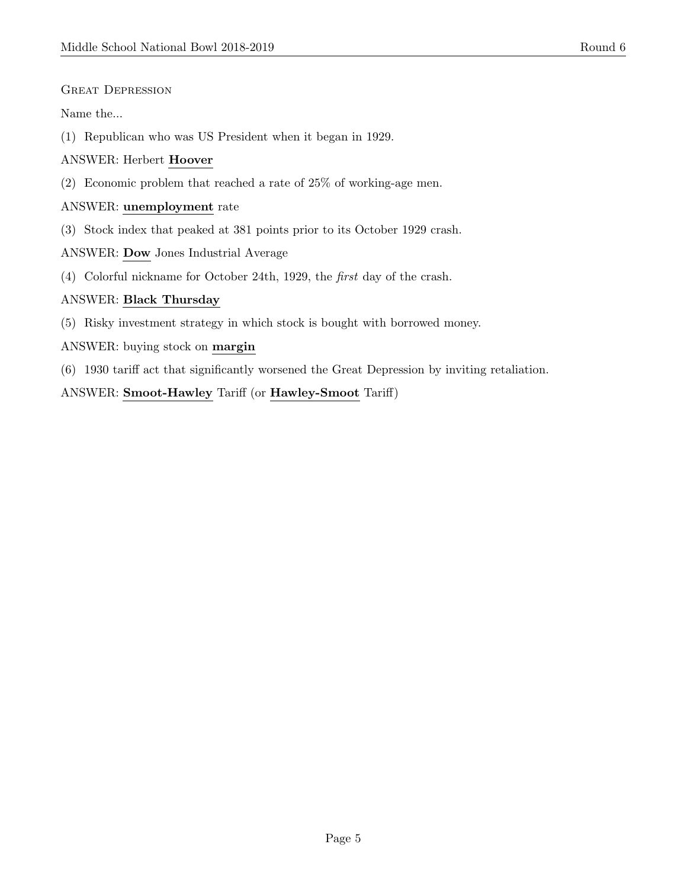GREAT DEPRESSION

Name the...

(1) Republican who was US President when it began in 1929.

#### ANSWER: Herbert Hoover

(2) Economic problem that reached a rate of 25% of working-age men.

#### ANSWER: unemployment rate

(3) Stock index that peaked at 381 points prior to its October 1929 crash.

ANSWER: Dow Jones Industrial Average

(4) Colorful nickname for October 24th, 1929, the first day of the crash.

#### ANSWER: Black Thursday

(5) Risky investment strategy in which stock is bought with borrowed money.

ANSWER: buying stock on margin

(6) 1930 tariff act that significantly worsened the Great Depression by inviting retaliation.

ANSWER: Smoot-Hawley Tariff (or Hawley-Smoot Tariff)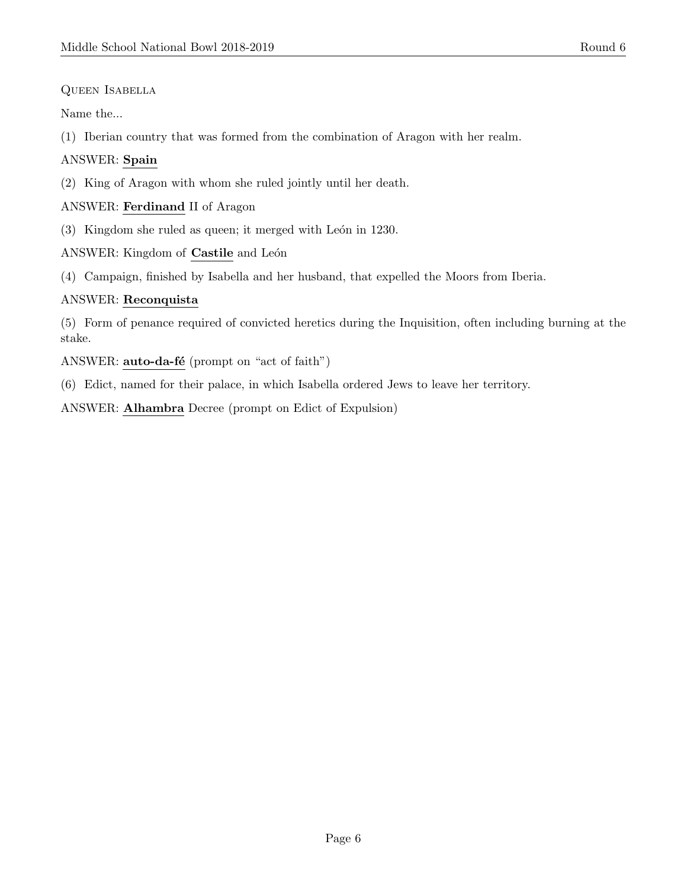Queen Isabella

Name the...

(1) Iberian country that was formed from the combination of Aragon with her realm.

# ANSWER: Spain

(2) King of Aragon with whom she ruled jointly until her death.

### ANSWER: Ferdinand II of Aragon

 $(3)$  Kingdom she ruled as queen; it merged with León in 1230.

ANSWER: Kingdom of Castile and León

(4) Campaign, finished by Isabella and her husband, that expelled the Moors from Iberia.

#### ANSWER: Reconquista

(5) Form of penance required of convicted heretics during the Inquisition, often including burning at the stake.

ANSWER: auto-da-fé (prompt on "act of faith")

(6) Edict, named for their palace, in which Isabella ordered Jews to leave her territory.

ANSWER: Alhambra Decree (prompt on Edict of Expulsion)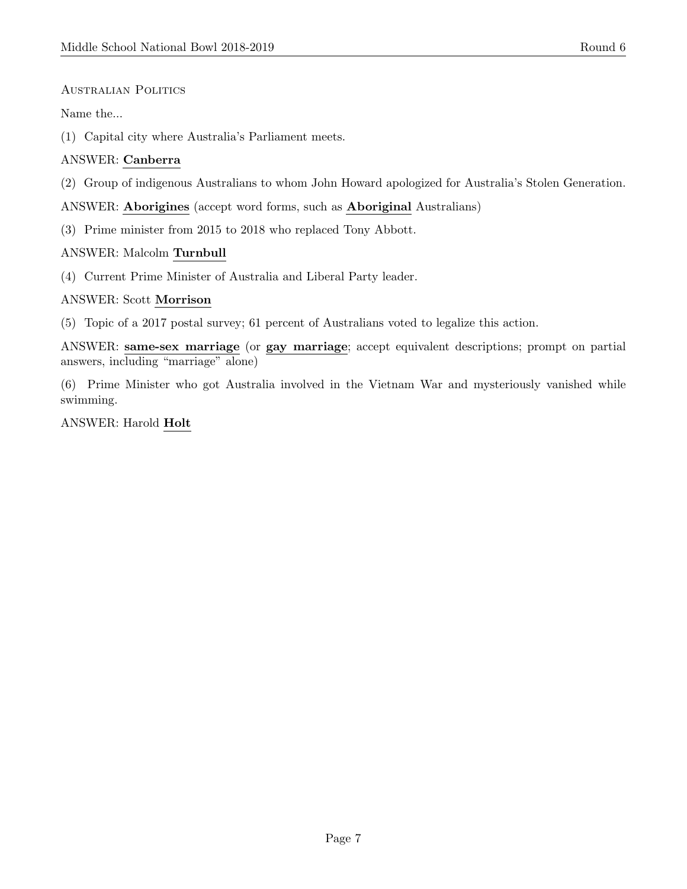#### Australian Politics

#### Name the...

(1) Capital city where Australia's Parliament meets.

# ANSWER: Canberra

(2) Group of indigenous Australians to whom John Howard apologized for Australia's Stolen Generation.

ANSWER: Aborigines (accept word forms, such as Aboriginal Australians)

(3) Prime minister from 2015 to 2018 who replaced Tony Abbott.

#### ANSWER: Malcolm Turnbull

(4) Current Prime Minister of Australia and Liberal Party leader.

#### ANSWER: Scott Morrison

(5) Topic of a 2017 postal survey; 61 percent of Australians voted to legalize this action.

ANSWER: same-sex marriage (or gay marriage; accept equivalent descriptions; prompt on partial answers, including "marriage" alone)

(6) Prime Minister who got Australia involved in the Vietnam War and mysteriously vanished while swimming.

ANSWER: Harold Holt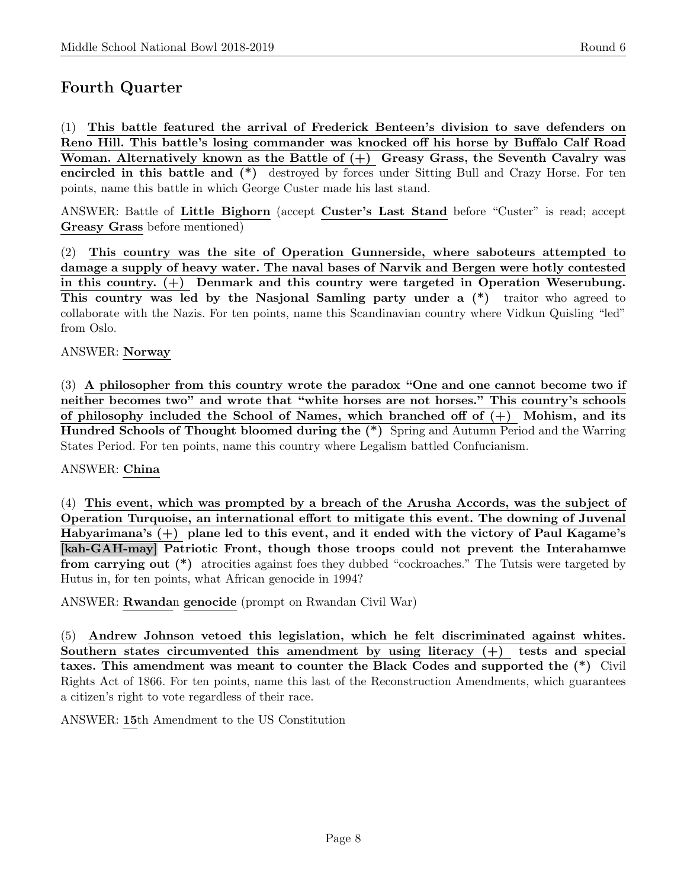# Fourth Quarter

(1) This battle featured the arrival of Frederick Benteen's division to save defenders on Reno Hill. This battle's losing commander was knocked off his horse by Buffalo Calf Road Woman. Alternatively known as the Battle of  $(+)$  Greasy Grass, the Seventh Cavalry was encircled in this battle and (\*) destroyed by forces under Sitting Bull and Crazy Horse. For ten points, name this battle in which George Custer made his last stand.

ANSWER: Battle of Little Bighorn (accept Custer's Last Stand before "Custer" is read; accept Greasy Grass before mentioned)

(2) This country was the site of Operation Gunnerside, where saboteurs attempted to damage a supply of heavy water. The naval bases of Narvik and Bergen were hotly contested in this country. (+) Denmark and this country were targeted in Operation Weserubung. This country was led by the Nasjonal Samling party under a (\*) traitor who agreed to collaborate with the Nazis. For ten points, name this Scandinavian country where Vidkun Quisling "led" from Oslo.

#### ANSWER: Norway

(3) A philosopher from this country wrote the paradox "One and one cannot become two if neither becomes two" and wrote that "white horses are not horses." This country's schools of philosophy included the School of Names, which branched off of  $(+)$  Mohism, and its Hundred Schools of Thought bloomed during the (\*) Spring and Autumn Period and the Warring States Period. For ten points, name this country where Legalism battled Confucianism.

#### ANSWER: China

(4) This event, which was prompted by a breach of the Arusha Accords, was the subject of Operation Turquoise, an international effort to mitigate this event. The downing of Juvenal Habyarimana's (+) plane led to this event, and it ended with the victory of Paul Kagame's [kah-GAH-may] Patriotic Front, though those troops could not prevent the Interahamwe from carrying out (\*) atrocities against foes they dubbed "cockroaches." The Tutsis were targeted by Hutus in, for ten points, what African genocide in 1994?

ANSWER: Rwandan genocide (prompt on Rwandan Civil War)

(5) Andrew Johnson vetoed this legislation, which he felt discriminated against whites. Southern states circumvented this amendment by using literacy (+) tests and special taxes. This amendment was meant to counter the Black Codes and supported the (\*) Civil Rights Act of 1866. For ten points, name this last of the Reconstruction Amendments, which guarantees a citizen's right to vote regardless of their race.

ANSWER: 15th Amendment to the US Constitution